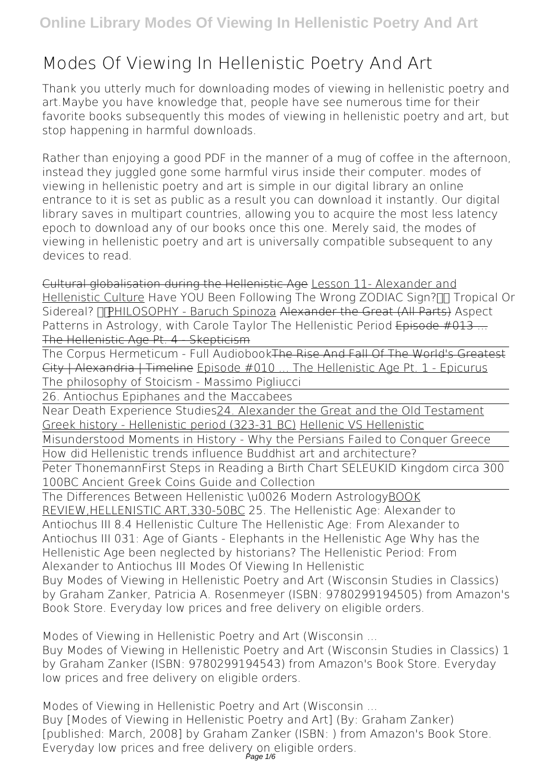## **Modes Of Viewing In Hellenistic Poetry And Art**

Thank you utterly much for downloading **modes of viewing in hellenistic poetry and art**.Maybe you have knowledge that, people have see numerous time for their favorite books subsequently this modes of viewing in hellenistic poetry and art, but stop happening in harmful downloads.

Rather than enjoying a good PDF in the manner of a mug of coffee in the afternoon, instead they juggled gone some harmful virus inside their computer. **modes of viewing in hellenistic poetry and art** is simple in our digital library an online entrance to it is set as public as a result you can download it instantly. Our digital library saves in multipart countries, allowing you to acquire the most less latency epoch to download any of our books once this one. Merely said, the modes of viewing in hellenistic poetry and art is universally compatible subsequent to any devices to read.

Cultural globalisation during the Hellenistic Age Lesson 11- Alexander and Hellenistic Culture Have YOU Been Following The Wrong ZODIAC Sign? Tropical Or Sidereal? **PHILOSOPHY - Baruch Spinoza Alexander the Great (All Parts)** Aspect Patterns in Astrology, with Carole Taylor The Hellenistic Period Episode #013... The Hellenistic Age Pt. 4 - Skepticism

The Corpus Hermeticum - Full AudiobookThe Rise And Fall Of The World's Greatest City | Alexandria | Timeline Episode #010 ... The Hellenistic Age Pt. 1 - Epicurus *The philosophy of Stoicism - Massimo Pigliucci*

26. Antiochus Epiphanes and the Maccabees

Near Death Experience Studies24. Alexander the Great and the Old Testament Greek history - Hellenistic period (323-31 BC) Hellenic VS Hellenistic

Misunderstood Moments in History - Why the Persians Failed to Conquer Greece How did Hellenistic trends influence Buddhist art and architecture?

Peter Thonemann*First Steps in Reading a Birth Chart SELEUKID Kingdom circa 300 100BC Ancient Greek Coins Guide and Collection*

The Differences Between Hellenistic \u0026 Modern AstrologyBOOK REVIEW,HELLENISTIC ART,330-50BC **25. The Hellenistic Age: Alexander to Antiochus III** *8.4 Hellenistic Culture* **The Hellenistic Age: From Alexander to Antiochus III** *031: Age of Giants - Elephants in the Hellenistic Age Why has the Hellenistic Age been neglected by historians?* The Hellenistic Period: From Alexander to Antiochus III *Modes Of Viewing In Hellenistic* Buy Modes of Viewing in Hellenistic Poetry and Art (Wisconsin Studies in Classics) by Graham Zanker, Patricia A. Rosenmeyer (ISBN: 9780299194505) from Amazon's Book Store. Everyday low prices and free delivery on eligible orders.

*Modes of Viewing in Hellenistic Poetry and Art (Wisconsin ...* Buy Modes of Viewing in Hellenistic Poetry and Art (Wisconsin Studies in Classics) 1 by Graham Zanker (ISBN: 9780299194543) from Amazon's Book Store. Everyday low prices and free delivery on eligible orders.

*Modes of Viewing in Hellenistic Poetry and Art (Wisconsin ...* Buy [Modes of Viewing in Hellenistic Poetry and Art] (By: Graham Zanker) [published: March, 2008] by Graham Zanker (ISBN: ) from Amazon's Book Store. Everyday low prices and free delivery on eligible orders.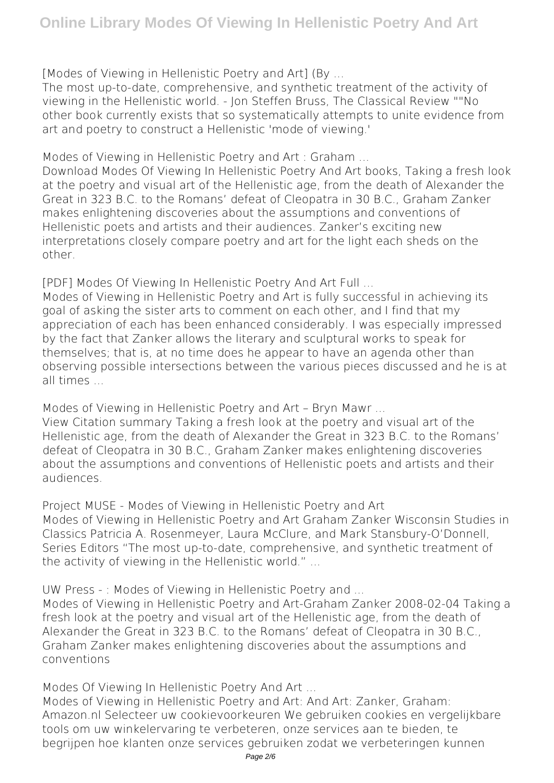*[Modes of Viewing in Hellenistic Poetry and Art] (By ...*

The most up-to-date, comprehensive, and synthetic treatment of the activity of viewing in the Hellenistic world. - Jon Steffen Bruss, The Classical Review ""No other book currently exists that so systematically attempts to unite evidence from art and poetry to construct a Hellenistic 'mode of viewing.'

*Modes of Viewing in Hellenistic Poetry and Art : Graham ...*

Download Modes Of Viewing In Hellenistic Poetry And Art books, Taking a fresh look at the poetry and visual art of the Hellenistic age, from the death of Alexander the Great in 323 B.C. to the Romans' defeat of Cleopatra in 30 B.C., Graham Zanker makes enlightening discoveries about the assumptions and conventions of Hellenistic poets and artists and their audiences. Zanker's exciting new interpretations closely compare poetry and art for the light each sheds on the other.

*[PDF] Modes Of Viewing In Hellenistic Poetry And Art Full ...*

Modes of Viewing in Hellenistic Poetry and Art is fully successful in achieving its goal of asking the sister arts to comment on each other, and I find that my appreciation of each has been enhanced considerably. I was especially impressed by the fact that Zanker allows the literary and sculptural works to speak for themselves; that is, at no time does he appear to have an agenda other than observing possible intersections between the various pieces discussed and he is at all times ...

*Modes of Viewing in Hellenistic Poetry and Art – Bryn Mawr ...*

View Citation summary Taking a fresh look at the poetry and visual art of the Hellenistic age, from the death of Alexander the Great in 323 B.C. to the Romans' defeat of Cleopatra in 30 B.C., Graham Zanker makes enlightening discoveries about the assumptions and conventions of Hellenistic poets and artists and their audiences.

*Project MUSE - Modes of Viewing in Hellenistic Poetry and Art* Modes of Viewing in Hellenistic Poetry and Art Graham Zanker Wisconsin Studies in Classics Patricia A. Rosenmeyer, Laura McClure, and Mark Stansbury-O'Donnell, Series Editors "The most up-to-date, comprehensive, and synthetic treatment of the activity of viewing in the Hellenistic world." ...

*UW Press - : Modes of Viewing in Hellenistic Poetry and ...*

Modes of Viewing in Hellenistic Poetry and Art-Graham Zanker 2008-02-04 Taking a fresh look at the poetry and visual art of the Hellenistic age, from the death of Alexander the Great in 323 B.C. to the Romans' defeat of Cleopatra in 30 B.C., Graham Zanker makes enlightening discoveries about the assumptions and conventions

*Modes Of Viewing In Hellenistic Poetry And Art ...*

Modes of Viewing in Hellenistic Poetry and Art: And Art: Zanker, Graham: Amazon.nl Selecteer uw cookievoorkeuren We gebruiken cookies en vergelijkbare tools om uw winkelervaring te verbeteren, onze services aan te bieden, te begrijpen hoe klanten onze services gebruiken zodat we verbeteringen kunnen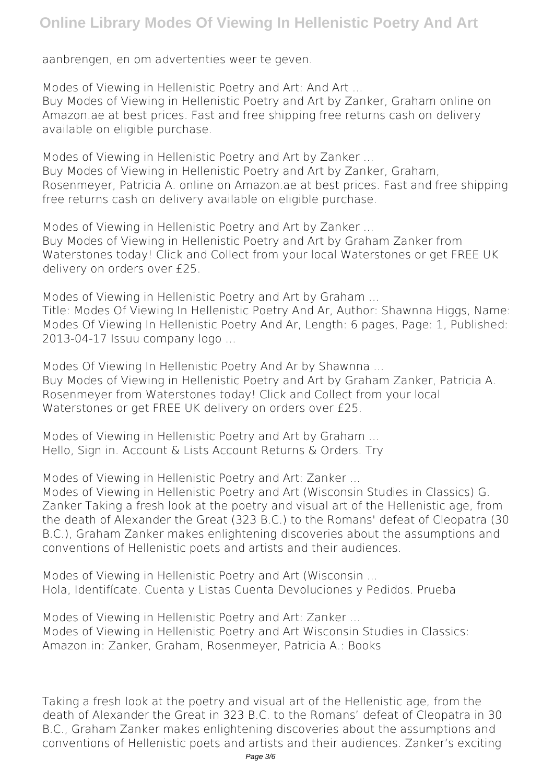## **Online Library Modes Of Viewing In Hellenistic Poetry And Art**

aanbrengen, en om advertenties weer te geven.

*Modes of Viewing in Hellenistic Poetry and Art: And Art ...* Buy Modes of Viewing in Hellenistic Poetry and Art by Zanker, Graham online on Amazon.ae at best prices. Fast and free shipping free returns cash on delivery available on eligible purchase.

*Modes of Viewing in Hellenistic Poetry and Art by Zanker ...* Buy Modes of Viewing in Hellenistic Poetry and Art by Zanker, Graham, Rosenmeyer, Patricia A. online on Amazon.ae at best prices. Fast and free shipping free returns cash on delivery available on eligible purchase.

*Modes of Viewing in Hellenistic Poetry and Art by Zanker ...* Buy Modes of Viewing in Hellenistic Poetry and Art by Graham Zanker from Waterstones today! Click and Collect from your local Waterstones or get FREE UK delivery on orders over £25.

*Modes of Viewing in Hellenistic Poetry and Art by Graham ...* Title: Modes Of Viewing In Hellenistic Poetry And Ar, Author: Shawnna Higgs, Name: Modes Of Viewing In Hellenistic Poetry And Ar, Length: 6 pages, Page: 1, Published: 2013-04-17 Issuu company logo ...

*Modes Of Viewing In Hellenistic Poetry And Ar by Shawnna ...* Buy Modes of Viewing in Hellenistic Poetry and Art by Graham Zanker, Patricia A. Rosenmeyer from Waterstones today! Click and Collect from your local Waterstones or get FREE UK delivery on orders over £25.

*Modes of Viewing in Hellenistic Poetry and Art by Graham ...* Hello, Sign in. Account & Lists Account Returns & Orders. Try

*Modes of Viewing in Hellenistic Poetry and Art: Zanker ...*

Modes of Viewing in Hellenistic Poetry and Art (Wisconsin Studies in Classics) G. Zanker Taking a fresh look at the poetry and visual art of the Hellenistic age, from the death of Alexander the Great (323 B.C.) to the Romans' defeat of Cleopatra (30 B.C.), Graham Zanker makes enlightening discoveries about the assumptions and conventions of Hellenistic poets and artists and their audiences.

*Modes of Viewing in Hellenistic Poetry and Art (Wisconsin ...* Hola, Identifícate. Cuenta y Listas Cuenta Devoluciones y Pedidos. Prueba

*Modes of Viewing in Hellenistic Poetry and Art: Zanker ...* Modes of Viewing in Hellenistic Poetry and Art Wisconsin Studies in Classics: Amazon.in: Zanker, Graham, Rosenmeyer, Patricia A.: Books

Taking a fresh look at the poetry and visual art of the Hellenistic age, from the death of Alexander the Great in 323 B.C. to the Romans' defeat of Cleopatra in 30 B.C., Graham Zanker makes enlightening discoveries about the assumptions and conventions of Hellenistic poets and artists and their audiences. Zanker's exciting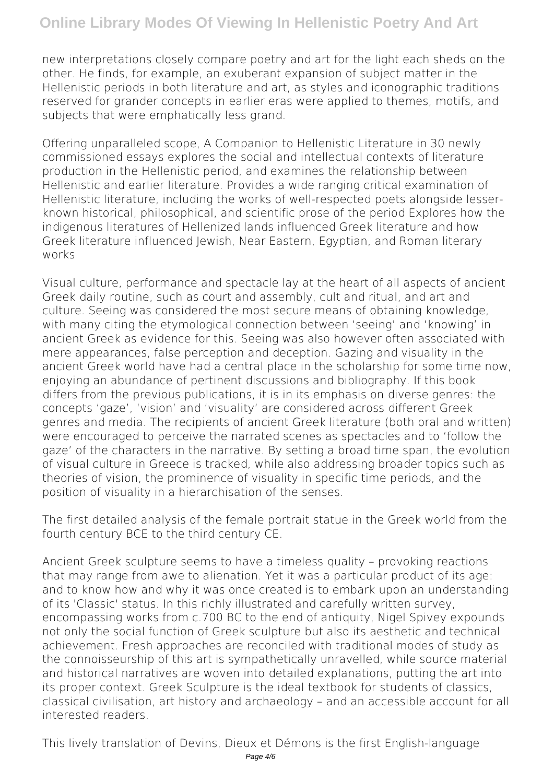new interpretations closely compare poetry and art for the light each sheds on the other. He finds, for example, an exuberant expansion of subject matter in the Hellenistic periods in both literature and art, as styles and iconographic traditions reserved for grander concepts in earlier eras were applied to themes, motifs, and subjects that were emphatically less grand.

Offering unparalleled scope, A Companion to Hellenistic Literature in 30 newly commissioned essays explores the social and intellectual contexts of literature production in the Hellenistic period, and examines the relationship between Hellenistic and earlier literature. Provides a wide ranging critical examination of Hellenistic literature, including the works of well-respected poets alongside lesserknown historical, philosophical, and scientific prose of the period Explores how the indigenous literatures of Hellenized lands influenced Greek literature and how Greek literature influenced Jewish, Near Eastern, Egyptian, and Roman literary works

Visual culture, performance and spectacle lay at the heart of all aspects of ancient Greek daily routine, such as court and assembly, cult and ritual, and art and culture. Seeing was considered the most secure means of obtaining knowledge, with many citing the etymological connection between 'seeing' and 'knowing' in ancient Greek as evidence for this. Seeing was also however often associated with mere appearances, false perception and deception. Gazing and visuality in the ancient Greek world have had a central place in the scholarship for some time now, enjoying an abundance of pertinent discussions and bibliography. If this book differs from the previous publications, it is in its emphasis on diverse genres: the concepts 'gaze', 'vision' and 'visuality' are considered across different Greek genres and media. The recipients of ancient Greek literature (both oral and written) were encouraged to perceive the narrated scenes as spectacles and to 'follow the gaze' of the characters in the narrative. By setting a broad time span, the evolution of visual culture in Greece is tracked, while also addressing broader topics such as theories of vision, the prominence of visuality in specific time periods, and the position of visuality in a hierarchisation of the senses.

The first detailed analysis of the female portrait statue in the Greek world from the fourth century BCE to the third century CE.

Ancient Greek sculpture seems to have a timeless quality – provoking reactions that may range from awe to alienation. Yet it was a particular product of its age: and to know how and why it was once created is to embark upon an understanding of its 'Classic' status. In this richly illustrated and carefully written survey, encompassing works from c.700 BC to the end of antiquity, Nigel Spivey expounds not only the social function of Greek sculpture but also its aesthetic and technical achievement. Fresh approaches are reconciled with traditional modes of study as the connoisseurship of this art is sympathetically unravelled, while source material and historical narratives are woven into detailed explanations, putting the art into its proper context. Greek Sculpture is the ideal textbook for students of classics, classical civilisation, art history and archaeology – and an accessible account for all interested readers.

This lively translation of Devins, Dieux et Démons is the first English-language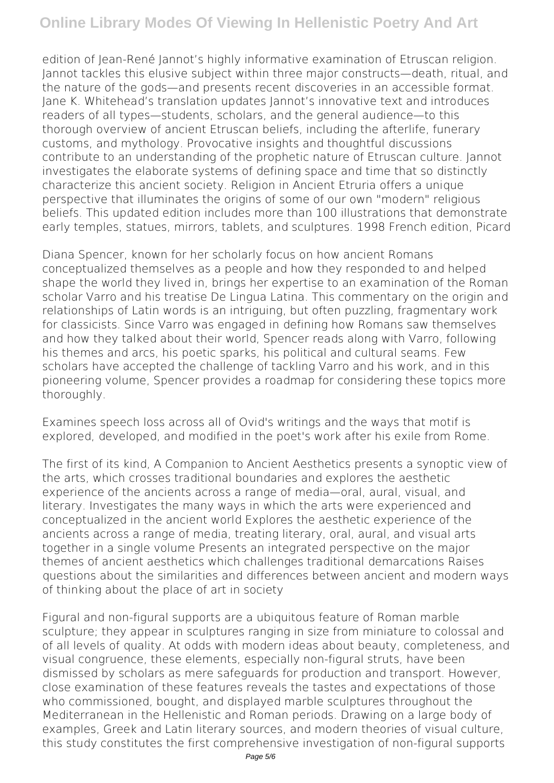## **Online Library Modes Of Viewing In Hellenistic Poetry And Art**

edition of Jean-René Jannot's highly informative examination of Etruscan religion. Jannot tackles this elusive subject within three major constructs—death, ritual, and the nature of the gods—and presents recent discoveries in an accessible format. Jane K. Whitehead's translation updates Jannot's innovative text and introduces readers of all types—students, scholars, and the general audience—to this thorough overview of ancient Etruscan beliefs, including the afterlife, funerary customs, and mythology. Provocative insights and thoughtful discussions contribute to an understanding of the prophetic nature of Etruscan culture. Jannot investigates the elaborate systems of defining space and time that so distinctly characterize this ancient society. Religion in Ancient Etruria offers a unique perspective that illuminates the origins of some of our own "modern" religious beliefs. This updated edition includes more than 100 illustrations that demonstrate early temples, statues, mirrors, tablets, and sculptures. 1998 French edition, Picard

Diana Spencer, known for her scholarly focus on how ancient Romans conceptualized themselves as a people and how they responded to and helped shape the world they lived in, brings her expertise to an examination of the Roman scholar Varro and his treatise De Lingua Latina. This commentary on the origin and relationships of Latin words is an intriguing, but often puzzling, fragmentary work for classicists. Since Varro was engaged in defining how Romans saw themselves and how they talked about their world, Spencer reads along with Varro, following his themes and arcs, his poetic sparks, his political and cultural seams. Few scholars have accepted the challenge of tackling Varro and his work, and in this pioneering volume, Spencer provides a roadmap for considering these topics more thoroughly.

Examines speech loss across all of Ovid's writings and the ways that motif is explored, developed, and modified in the poet's work after his exile from Rome.

The first of its kind, A Companion to Ancient Aesthetics presents a synoptic view of the arts, which crosses traditional boundaries and explores the aesthetic experience of the ancients across a range of media—oral, aural, visual, and literary. Investigates the many ways in which the arts were experienced and conceptualized in the ancient world Explores the aesthetic experience of the ancients across a range of media, treating literary, oral, aural, and visual arts together in a single volume Presents an integrated perspective on the major themes of ancient aesthetics which challenges traditional demarcations Raises questions about the similarities and differences between ancient and modern ways of thinking about the place of art in society

Figural and non-figural supports are a ubiquitous feature of Roman marble sculpture; they appear in sculptures ranging in size from miniature to colossal and of all levels of quality. At odds with modern ideas about beauty, completeness, and visual congruence, these elements, especially non-figural struts, have been dismissed by scholars as mere safeguards for production and transport. However, close examination of these features reveals the tastes and expectations of those who commissioned, bought, and displayed marble sculptures throughout the Mediterranean in the Hellenistic and Roman periods. Drawing on a large body of examples, Greek and Latin literary sources, and modern theories of visual culture, this study constitutes the first comprehensive investigation of non-figural supports